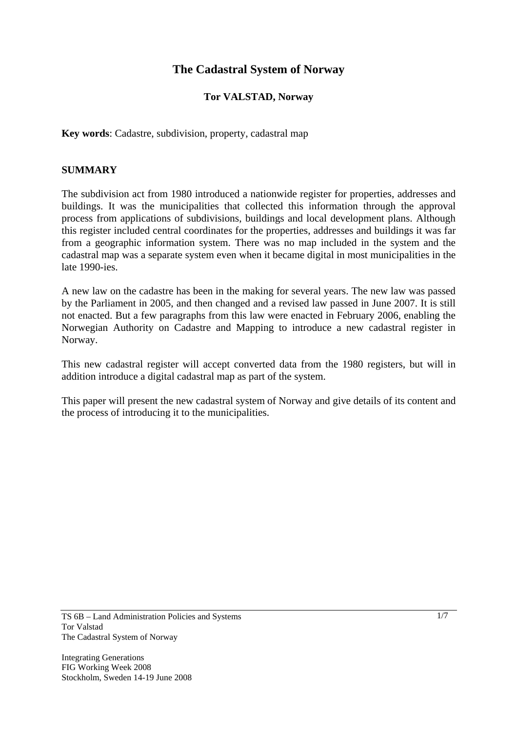# **The Cadastral System of Norway**

# **Tor VALSTAD, Norway**

**Key words**: Cadastre, subdivision, property, cadastral map

## **SUMMARY**

The subdivision act from 1980 introduced a nationwide register for properties, addresses and buildings. It was the municipalities that collected this information through the approval process from applications of subdivisions, buildings and local development plans. Although this register included central coordinates for the properties, addresses and buildings it was far from a geographic information system. There was no map included in the system and the cadastral map was a separate system even when it became digital in most municipalities in the late 1990-ies.

A new law on the cadastre has been in the making for several years. The new law was passed by the Parliament in 2005, and then changed and a revised law passed in June 2007. It is still not enacted. But a few paragraphs from this law were enacted in February 2006, enabling the Norwegian Authority on Cadastre and Mapping to introduce a new cadastral register in Norway.

This new cadastral register will accept converted data from the 1980 registers, but will in addition introduce a digital cadastral map as part of the system.

This paper will present the new cadastral system of Norway and give details of its content and the process of introducing it to the municipalities.

Integrating Generations FIG Working Week 2008 Stockholm, Sweden 14-19 June 2008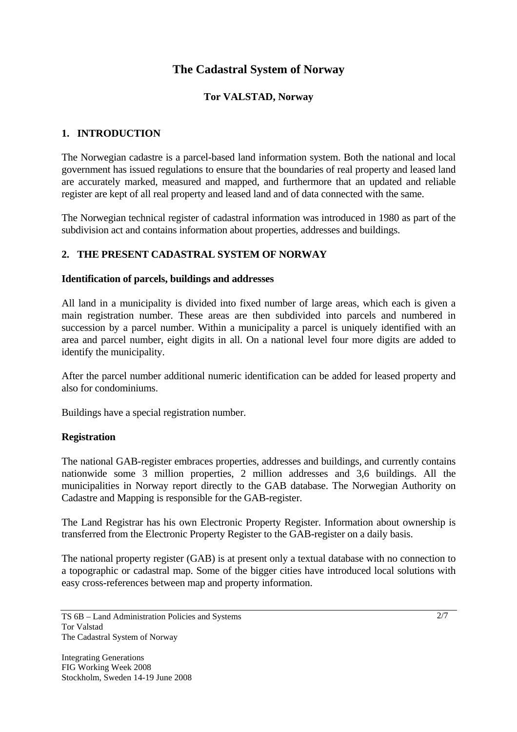# **The Cadastral System of Norway**

# **Tor VALSTAD, Norway**

# **1. INTRODUCTION**

The Norwegian cadastre is a parcel-based land information system. Both the national and local government has issued regulations to ensure that the boundaries of real property and leased land are accurately marked, measured and mapped, and furthermore that an updated and reliable register are kept of all real property and leased land and of data connected with the same.

The Norwegian technical register of cadastral information was introduced in 1980 as part of the subdivision act and contains information about properties, addresses and buildings.

# **2. THE PRESENT CADASTRAL SYSTEM OF NORWAY**

### **Identification of parcels, buildings and addresses**

All land in a municipality is divided into fixed number of large areas, which each is given a main registration number. These areas are then subdivided into parcels and numbered in succession by a parcel number. Within a municipality a parcel is uniquely identified with an area and parcel number, eight digits in all. On a national level four more digits are added to identify the municipality.

After the parcel number additional numeric identification can be added for leased property and also for condominiums.

Buildings have a special registration number.

#### **Registration**

The national GAB-register embraces properties, addresses and buildings, and currently contains nationwide some 3 million properties, 2 million addresses and 3,6 buildings. All the municipalities in Norway report directly to the GAB database. The Norwegian Authority on Cadastre and Mapping is responsible for the GAB-register.

The Land Registrar has his own Electronic Property Register. Information about ownership is transferred from the Electronic Property Register to the GAB-register on a daily basis.

The national property register (GAB) is at present only a textual database with no connection to a topographic or cadastral map. Some of the bigger cities have introduced local solutions with easy cross-references between map and property information.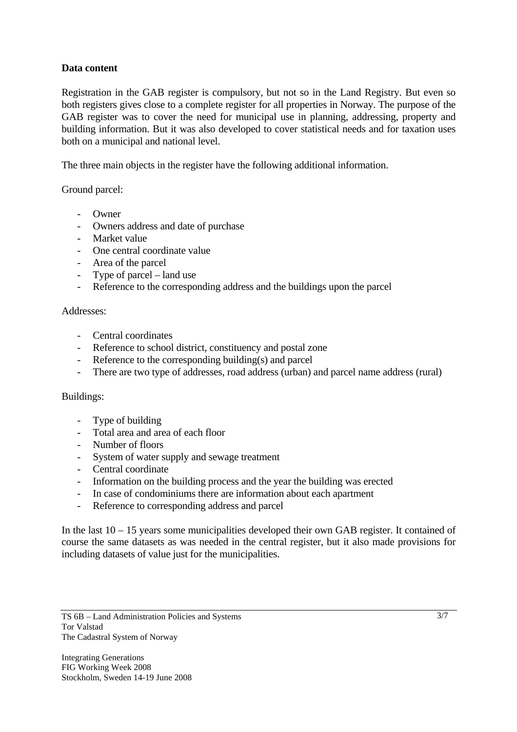## **Data content**

Registration in the GAB register is compulsory, but not so in the Land Registry. But even so both registers gives close to a complete register for all properties in Norway. The purpose of the GAB register was to cover the need for municipal use in planning, addressing, property and building information. But it was also developed to cover statistical needs and for taxation uses both on a municipal and national level.

The three main objects in the register have the following additional information.

Ground parcel:

- Owner
- Owners address and date of purchase
- Market value
- One central coordinate value
- Area of the parcel
- Type of parcel land use
- Reference to the corresponding address and the buildings upon the parcel

#### Addresses:

- Central coordinates
- Reference to school district, constituency and postal zone
- Reference to the corresponding building(s) and parcel
- There are two type of addresses, road address (urban) and parcel name address (rural)

#### Buildings:

- Type of building
- Total area and area of each floor
- Number of floors
- System of water supply and sewage treatment
- Central coordinate
- Information on the building process and the year the building was erected
- In case of condominiums there are information about each apartment
- Reference to corresponding address and parcel

In the last 10 – 15 years some municipalities developed their own GAB register. It contained of course the same datasets as was needed in the central register, but it also made provisions for including datasets of value just for the municipalities.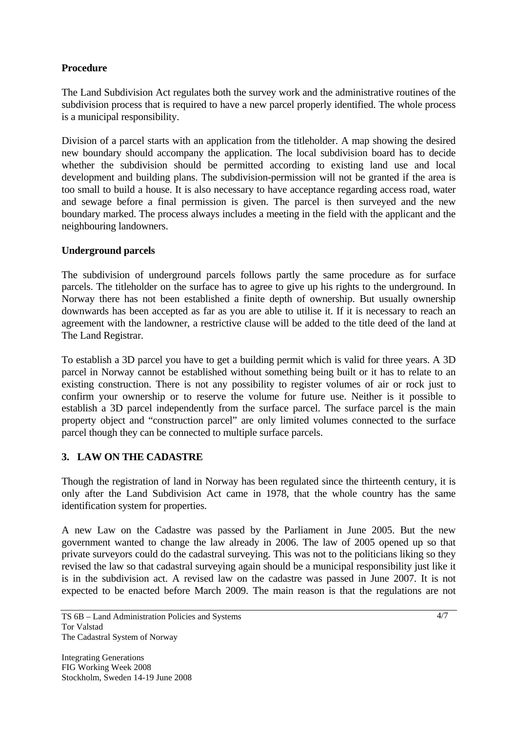# **Procedure**

The Land Subdivision Act regulates both the survey work and the administrative routines of the subdivision process that is required to have a new parcel properly identified. The whole process is a municipal responsibility.

Division of a parcel starts with an application from the titleholder. A map showing the desired new boundary should accompany the application. The local subdivision board has to decide whether the subdivision should be permitted according to existing land use and local development and building plans. The subdivision-permission will not be granted if the area is too small to build a house. It is also necessary to have acceptance regarding access road, water and sewage before a final permission is given. The parcel is then surveyed and the new boundary marked. The process always includes a meeting in the field with the applicant and the neighbouring landowners.

# **Underground parcels**

The subdivision of underground parcels follows partly the same procedure as for surface parcels. The titleholder on the surface has to agree to give up his rights to the underground. In Norway there has not been established a finite depth of ownership. But usually ownership downwards has been accepted as far as you are able to utilise it. If it is necessary to reach an agreement with the landowner, a restrictive clause will be added to the title deed of the land at The Land Registrar.

To establish a 3D parcel you have to get a building permit which is valid for three years. A 3D parcel in Norway cannot be established without something being built or it has to relate to an existing construction. There is not any possibility to register volumes of air or rock just to confirm your ownership or to reserve the volume for future use. Neither is it possible to establish a 3D parcel independently from the surface parcel. The surface parcel is the main property object and "construction parcel" are only limited volumes connected to the surface parcel though they can be connected to multiple surface parcels.

# **3. LAW ON THE CADASTRE**

Though the registration of land in Norway has been regulated since the thirteenth century, it is only after the Land Subdivision Act came in 1978, that the whole country has the same identification system for properties.

A new Law on the Cadastre was passed by the Parliament in June 2005. But the new government wanted to change the law already in 2006. The law of 2005 opened up so that private surveyors could do the cadastral surveying. This was not to the politicians liking so they revised the law so that cadastral surveying again should be a municipal responsibility just like it is in the subdivision act. A revised law on the cadastre was passed in June 2007. It is not expected to be enacted before March 2009. The main reason is that the regulations are not

TS 6B – Land Administration Policies and Systems Tor Valstad The Cadastral System of Norway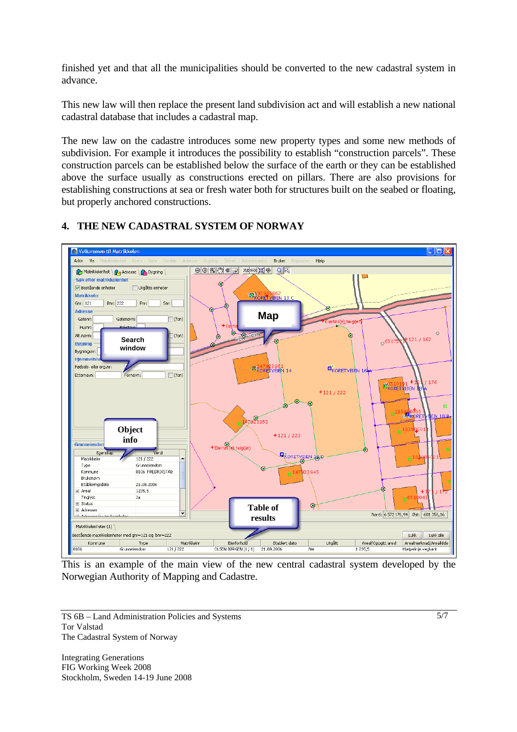finished yet and that all the municipalities should be converted to the new cadastral system in advance.

This new law will then replace the present land subdivision act and will establish a new national cadastral database that includes a cadastral map.

The new law on the cadastre introduces some new property types and some new methods of subdivision. For example it introduces the possibility to establish "construction parcels". These construction parcels can be established below the surface of the earth or they can be established above the surface usually as constructions erected on pillars. There are also provisions for establishing constructions at sea or fresh water both for structures built on the seabed or floating, but properly anchored constructions.



# **4. THE NEW CADASTRAL SYSTEM OF NORWAY**

This is an example of the main view of the new central cadastral system developed by the Norwegian Authority of Mapping and Cadastre.

TS 6B – Land Administration Policies and Systems Tor Valstad The Cadastral System of Norway

Integrating Generations FIG Working Week 2008 Stockholm, Sweden 14-19 June 2008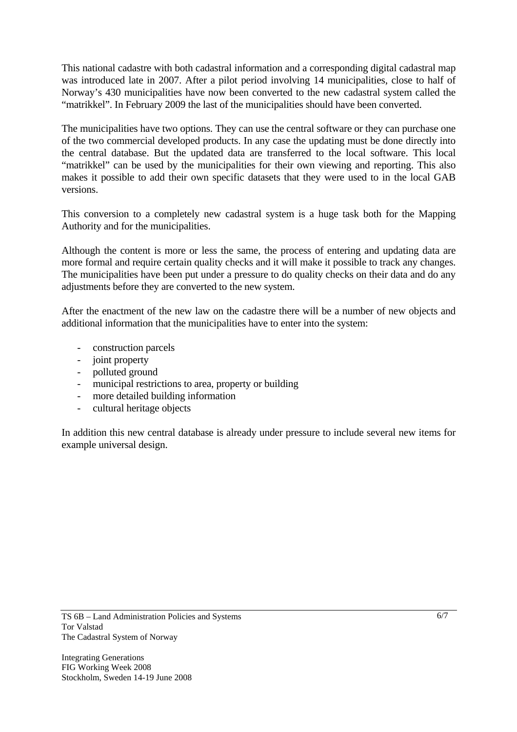This national cadastre with both cadastral information and a corresponding digital cadastral map was introduced late in 2007. After a pilot period involving 14 municipalities, close to half of Norway's 430 municipalities have now been converted to the new cadastral system called the "matrikkel". In February 2009 the last of the municipalities should have been converted.

The municipalities have two options. They can use the central software or they can purchase one of the two commercial developed products. In any case the updating must be done directly into the central database. But the updated data are transferred to the local software. This local "matrikkel" can be used by the municipalities for their own viewing and reporting. This also makes it possible to add their own specific datasets that they were used to in the local GAB versions.

This conversion to a completely new cadastral system is a huge task both for the Mapping Authority and for the municipalities.

Although the content is more or less the same, the process of entering and updating data are more formal and require certain quality checks and it will make it possible to track any changes. The municipalities have been put under a pressure to do quality checks on their data and do any adjustments before they are converted to the new system.

After the enactment of the new law on the cadastre there will be a number of new objects and additional information that the municipalities have to enter into the system:

- construction parcels
- joint property
- polluted ground
- municipal restrictions to area, property or building
- more detailed building information
- cultural heritage objects

In addition this new central database is already under pressure to include several new items for example universal design.